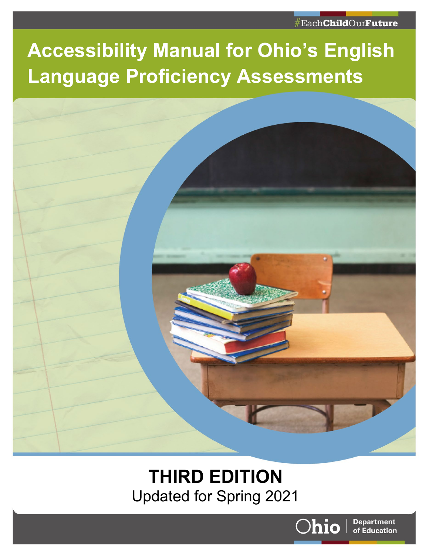#### #Each**Child**Our**Future**

# **Accessibility Manual for Ohio's English Language Proficiency Assessments**



## **THIRD EDITION** Updated for Spring 2021



**Department** of Education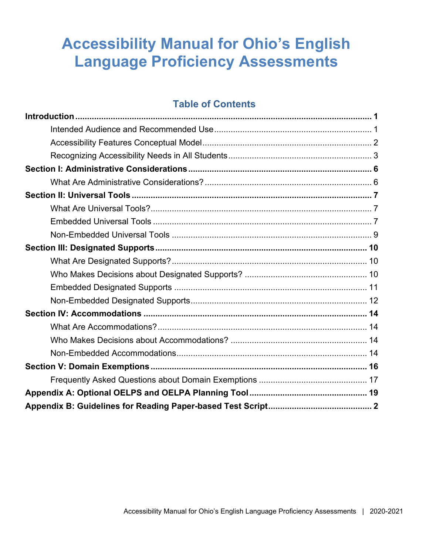## **Accessibility Manual for Ohio's English Language Proficiency Assessments**

#### **Table of Contents**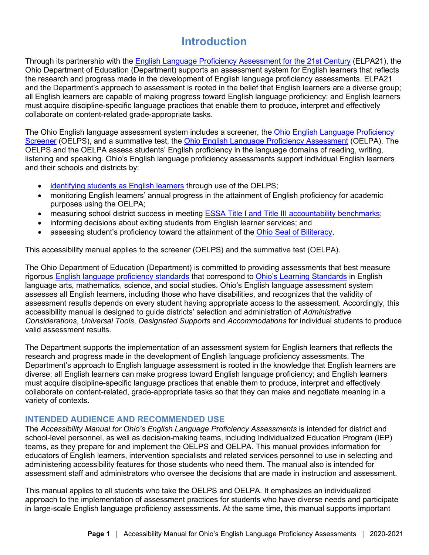## **Introduction**

<span id="page-2-0"></span>Through its partnership with the **English Language Proficiency Assessment for the 21st Century** (ELPA21), the Ohio Department of Education (Department) supports an assessment system for English learners that reflects the research and progress made in the development of English language proficiency assessments. ELPA21 and the Department's approach to assessment is rooted in the belief that English learners are a diverse group; all English learners are capable of making progress toward English language proficiency; and English learners must acquire discipline-specific language practices that enable them to produce, interpret and effectively collaborate on content-related grade-appropriate tasks.

The Ohio English language assessment system includes a screener, the [Ohio English Language Proficiency](http://education.ohio.gov/Topics/Testing/Ohio-English-Language-Proficiency-Screener-OELPS)  [Screener](http://education.ohio.gov/Topics/Testing/Ohio-English-Language-Proficiency-Screener-OELPS) (OELPS), and a summative test, the Ohio English Language [Proficiency Assessment](http://education.ohio.gov/Topics/Testing/Ohio-English-Language-Proficiency-Assessment-OELPA/Ohio-English-Language-Proficiency-Assessment-OELPA) (OELPA). The OELPS and the OELPA assess students' English proficiency in the language domains of reading, writing, listening and speaking. Ohio's English language proficiency assessments support individual English learners and their schools and districts by:

- [identifying students as English learners](http://education.ohio.gov/Topics/Student-Supports/English-Learners/Teaching-English-Learners/Guidelines-for-Identifying-English-Learners) through use of the OELPS;
- monitoring English learners' annual progress in the attainment of English proficiency for academic purposes using the OELPA;
- measuring school district success in meeting [ESSA Title I and Title III accountability benchmarks;](http://education.ohio.gov/Topics/Data/Report-Card-Resources/Gap-Closing-Component/English-Language-Proficiency-Improvement-Measure)
- informing decisions about exiting students from English learner services; and
- assessing student's proficiency toward the attainment of the [Ohio Seal of Biliteracy.](http://education.ohio.gov/Topics/Learning-in-Ohio/Foreign-Language/Ohio-Seal-of-Biliteracy)

This accessibility manual applies to the screener (OELPS) and the summative test (OELPA).

The Ohio Department of Education (Department) is committed to providing assessments that best measure rigorous [English language proficiency standards](http://education.ohio.gov/Topics/Other-Resources/Limited-English-Proficiency/ELL-Guidelines/Ohio-English-Language-Proficiency-ELP-Standards) that correspond to [Ohio's Learning Standards](http://education.ohio.gov/Topics/Learning-in-Ohio/OLS-Graphic-Sections/Learning-Standards) in English language arts, mathematics, science, and social studies. Ohio's English language assessment system assesses all English learners, including those who have disabilities, and recognizes that the validity of assessment results depends on every student having appropriate access to the assessment. Accordingly, this accessibility manual is designed to guide districts' selection and administration of *Administrative Considerations*, *Universal Tools*, *Designated Supports* and *Accommodations* for individual students to produce valid assessment results.

The Department supports the implementation of an assessment system for English learners that reflects the research and progress made in the development of English language proficiency assessments. The Department's approach to English language assessment is rooted in the knowledge that English learners are diverse; all English learners can make progress toward English language proficiency; and English learners must acquire discipline-specific language practices that enable them to produce, interpret and effectively collaborate on content-related, grade-appropriate tasks so that they can make and negotiate meaning in a variety of contexts.

#### <span id="page-2-1"></span>**INTENDED AUDIENCE AND RECOMMENDED USE**

The *Accessibility Manual for Ohio's English Language Proficiency Assessments* is intended for district and school-level personnel, as well as decision-making teams, including Individualized Education Program (IEP) teams, as they prepare for and implement the OELPS and OELPA. This manual provides information for educators of English learners, intervention specialists and related services personnel to use in selecting and administering accessibility features for those students who need them. The manual also is intended for assessment staff and administrators who oversee the decisions that are made in instruction and assessment.

This manual applies to all students who take the OELPS and OELPA. It emphasizes an individualized approach to the implementation of assessment practices for students who have diverse needs and participate in large-scale English language proficiency assessments. At the same time, this manual supports important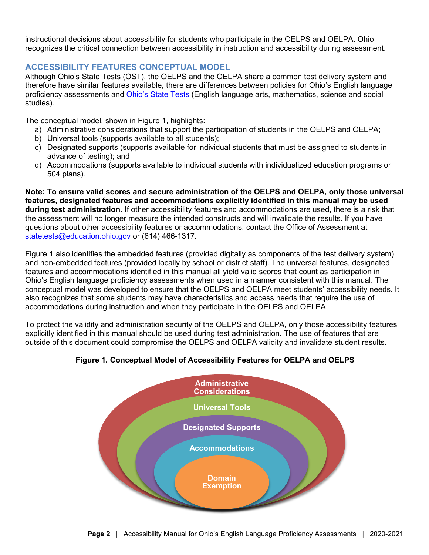instructional decisions about accessibility for students who participate in the OELPS and OELPA. Ohio recognizes the critical connection between accessibility in instruction and accessibility during assessment.

#### <span id="page-3-0"></span>**ACCESSIBILITY FEATURES CONCEPTUAL MODEL**

Although Ohio's State Tests (OST), the OELPS and the OELPA share a common test delivery system and therefore have similar features available, there are differences between policies for Ohio's English language proficiency assessments and [Ohio's State Tests](http://education.ohio.gov/Topics/Testing/Ohio-English-Language-Proficiency-Assessment-OELPA/Ohio-English-Language-Proficiency-Assessment-OELPA) (English language arts, mathematics, science and social studies).

The conceptual model, shown in Figure 1, highlights:

- a) Administrative considerations that support the participation of students in the OELPS and OELPA;
- b) Universal tools (supports available to all students);
- c) Designated supports (supports available for individual students that must be assigned to students in advance of testing); and
- d) Accommodations (supports available to individual students with individualized education programs or 504 plans).

**Note: To ensure valid scores and secure administration of the OELPS and OELPA, only those universal features, designated features and accommodations explicitly identified in this manual may be used during test administration.** If other accessibility features and accommodations are used, there is a risk that the assessment will no longer measure the intended constructs and will invalidate the results. If you have questions about other accessibility features or accommodations, contact the Office of Assessment at [statetests@education.ohio.gov](mailto:statetests@education.ohio.gov) or (614) 466-1317.

Figure 1 also identifies the embedded features (provided digitally as components of the test delivery system) and non-embedded features (provided locally by school or district staff). The universal features, designated features and accommodations identified in this manual all yield valid scores that count as participation in Ohio's English language proficiency assessments when used in a manner consistent with this manual. The conceptual model was developed to ensure that the OELPS and OELPA meet students' accessibility needs. It also recognizes that some students may have characteristics and access needs that require the use of accommodations during instruction and when they participate in the OELPS and OELPA.

To protect the validity and administration security of the OELPS and OELPA, only those accessibility features explicitly identified in this manual should be used during test administration. The use of features that are outside of this document could compromise the OELPS and OELPA validity and invalidate student results.

#### **Figure 1. Conceptual Model of Accessibility Features for OELPA and OELPS**

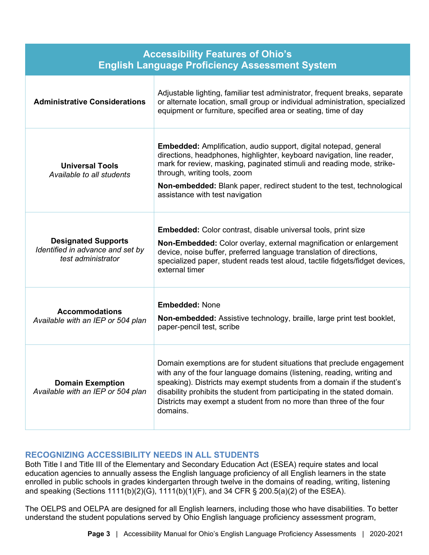| <b>Accessibility Features of Ohio's</b><br><b>English Language Proficiency Assessment System</b> |                                                                                                                                                                                                                                                                                                                                                                                           |
|--------------------------------------------------------------------------------------------------|-------------------------------------------------------------------------------------------------------------------------------------------------------------------------------------------------------------------------------------------------------------------------------------------------------------------------------------------------------------------------------------------|
| <b>Administrative Considerations</b>                                                             | Adjustable lighting, familiar test administrator, frequent breaks, separate<br>or alternate location, small group or individual administration, specialized<br>equipment or furniture, specified area or seating, time of day                                                                                                                                                             |
| <b>Universal Tools</b><br>Available to all students                                              | <b>Embedded:</b> Amplification, audio support, digital notepad, general<br>directions, headphones, highlighter, keyboard navigation, line reader,<br>mark for review, masking, paginated stimuli and reading mode, strike-<br>through, writing tools, zoom<br><b>Non-embedded:</b> Blank paper, redirect student to the test, technological<br>assistance with test navigation            |
| <b>Designated Supports</b><br>Identified in advance and set by<br>test administrator             | <b>Embedded:</b> Color contrast, disable universal tools, print size<br>Non-Embedded: Color overlay, external magnification or enlargement<br>device, noise buffer, preferred language translation of directions,<br>specialized paper, student reads test aloud, tactile fidgets/fidget devices,<br>external timer                                                                       |
| <b>Accommodations</b><br>Available with an IEP or 504 plan                                       | <b>Embedded: None</b><br><b>Non-embedded:</b> Assistive technology, braille, large print test booklet,<br>paper-pencil test, scribe                                                                                                                                                                                                                                                       |
| <b>Domain Exemption</b><br>Available with an IEP or 504 plan                                     | Domain exemptions are for student situations that preclude engagement<br>with any of the four language domains (listening, reading, writing and<br>speaking). Districts may exempt students from a domain if the student's<br>disability prohibits the student from participating in the stated domain.<br>Districts may exempt a student from no more than three of the four<br>domains. |

#### <span id="page-4-0"></span>**RECOGNIZING ACCESSIBILITY NEEDS IN ALL STUDENTS**

Both Title I and Title III of the Elementary and Secondary Education Act (ESEA) require states and local education agencies to annually assess the English language proficiency of all English learners in the state enrolled in public schools in grades kindergarten through twelve in the domains of reading, writing, listening and speaking (Sections 1111(b)(2)(G), 1111(b)(1)(F), and 34 CFR § 200.5(a)(2) of the ESEA).

The OELPS and OELPA are designed for all English learners, including those who have disabilities. To better understand the student populations served by Ohio English language proficiency assessment program,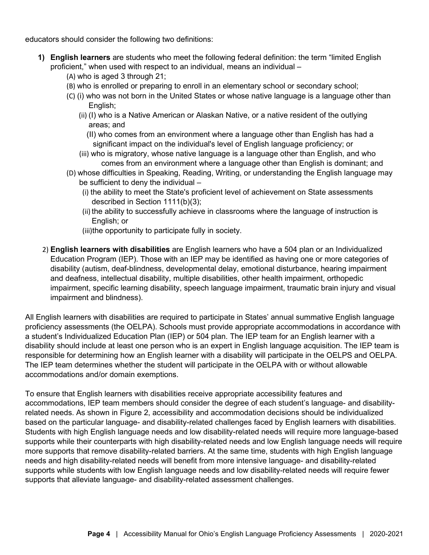educators should consider the following two definitions:

- **1) English learners** are students who meet the following federal definition: the term "limited English proficient," when used with respect to an individual, means an individual –
	- (A) who is aged 3 through 21;
	- (B) who is enrolled or preparing to enroll in an elementary school or secondary school;
	- (C) (i) who was not born in the United States or whose native language is a language other than English:
		- (ii) (I) who is a Native American or Alaskan Native, or a native resident of the outlying areas; and
			- (II) who comes from an environment where a language other than English has had a significant impact on the individual's level of English language proficiency; or
		- (iii) who is migratory, whose native language is a language other than English, and who comes from an environment where a language other than English is dominant; and
	- (D) whose difficulties in Speaking, Reading, Writing, or understanding the English language may be sufficient to deny the individual –
		- (i) the ability to meet the State's proficient level of achievement on State assessments described in Section 1111(b)(3);
		- (ii) the ability to successfully achieve in classrooms where the language of instruction is English; or
		- (iii)the opportunity to participate fully in society.
- 2) **English learners with disabilities** are English learners who have a 504 plan or an Individualized Education Program (IEP). Those with an IEP may be identified as having one or more categories of disability (autism, deaf-blindness, developmental delay, emotional disturbance, hearing impairment and deafness, intellectual disability, multiple disabilities, other health impairment, orthopedic impairment, specific learning disability, speech language impairment, traumatic brain injury and visual impairment and blindness).

All English learners with disabilities are required to participate in States' annual summative English language proficiency assessments (the OELPA). Schools must provide appropriate accommodations in accordance with a student's Individualized Education Plan (IEP) or 504 plan. The IEP team for an English learner with a disability should include at least one person who is an expert in English language acquisition. The IEP team is responsible for determining how an English learner with a disability will participate in the OELPS and OELPA. The IEP team determines whether the student will participate in the OELPA with or without allowable accommodations and/or domain exemptions.

To ensure that English learners with disabilities receive appropriate accessibility features and accommodations, IEP team members should consider the degree of each student's language- and disabilityrelated needs. As shown in Figure 2, accessibility and accommodation decisions should be individualized based on the particular language- and disability-related challenges faced by English learners with disabilities. Students with high English language needs and low disability-related needs will require more language-based supports while their counterparts with high disability-related needs and low English language needs will require more supports that remove disability-related barriers. At the same time, students with high English language needs and high disability-related needs will benefit from more intensive language- and disability-related supports while students with low English language needs and low disability-related needs will require fewer supports that alleviate language- and disability-related assessment challenges.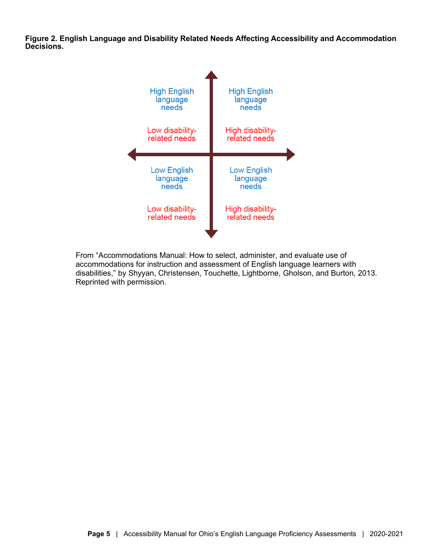**Figure 2. English Language and Disability Related Needs Affecting Accessibility and Accommodation Decisions.** 



From "Accommodations Manual: How to select, administer, and evaluate use of accommodations for instruction and assessment of English language learners with disabilities," by Shyyan, Christensen, Touchette, Lightborne, Gholson, and Burton, 2013. Reprinted with permission.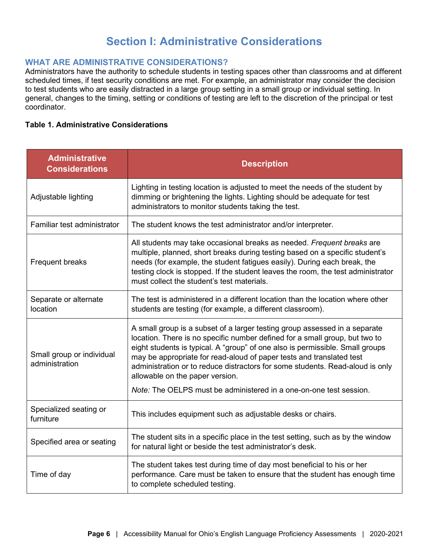## **Section I: Administrative Considerations**

#### <span id="page-7-1"></span><span id="page-7-0"></span>**WHAT ARE ADMINISTRATIVE CONSIDERATIONS?**

Administrators have the authority to schedule students in testing spaces other than classrooms and at different scheduled times, if test security conditions are met. For example, an administrator may consider the decision to test students who are easily distracted in a large group setting in a small group or individual setting. In general, changes to the timing, setting or conditions of testing are left to the discretion of the principal or test coordinator.

#### **Table 1. Administrative Considerations**

| <b>Administrative</b><br><b>Considerations</b> | <b>Description</b>                                                                                                                                                                                                                                                                                                                                                                                                                     |
|------------------------------------------------|----------------------------------------------------------------------------------------------------------------------------------------------------------------------------------------------------------------------------------------------------------------------------------------------------------------------------------------------------------------------------------------------------------------------------------------|
| Adjustable lighting                            | Lighting in testing location is adjusted to meet the needs of the student by<br>dimming or brightening the lights. Lighting should be adequate for test<br>administrators to monitor students taking the test.                                                                                                                                                                                                                         |
| Familiar test administrator                    | The student knows the test administrator and/or interpreter.                                                                                                                                                                                                                                                                                                                                                                           |
| Frequent breaks                                | All students may take occasional breaks as needed. Frequent breaks are<br>multiple, planned, short breaks during testing based on a specific student's<br>needs (for example, the student fatigues easily). During each break, the<br>testing clock is stopped. If the student leaves the room, the test administrator<br>must collect the student's test materials.                                                                   |
| Separate or alternate<br>location              | The test is administered in a different location than the location where other<br>students are testing (for example, a different classroom).                                                                                                                                                                                                                                                                                           |
| Small group or individual<br>administration    | A small group is a subset of a larger testing group assessed in a separate<br>location. There is no specific number defined for a small group, but two to<br>eight students is typical. A "group" of one also is permissible. Small groups<br>may be appropriate for read-aloud of paper tests and translated test<br>administration or to reduce distractors for some students. Read-aloud is only<br>allowable on the paper version. |
|                                                | Note: The OELPS must be administered in a one-on-one test session.                                                                                                                                                                                                                                                                                                                                                                     |
| Specialized seating or<br>furniture            | This includes equipment such as adjustable desks or chairs.                                                                                                                                                                                                                                                                                                                                                                            |
| Specified area or seating                      | The student sits in a specific place in the test setting, such as by the window<br>for natural light or beside the test administrator's desk.                                                                                                                                                                                                                                                                                          |
| Time of day                                    | The student takes test during time of day most beneficial to his or her<br>performance. Care must be taken to ensure that the student has enough time<br>to complete scheduled testing.                                                                                                                                                                                                                                                |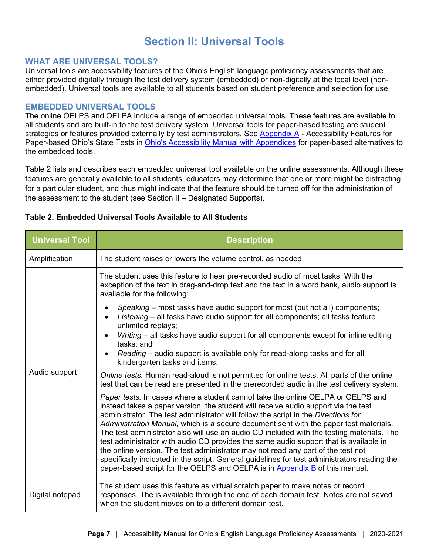## **Section II: Universal Tools**

#### <span id="page-8-1"></span><span id="page-8-0"></span>**WHAT ARE UNIVERSAL TOOLS?**

Universal tools are accessibility features of the Ohio's English language proficiency assessments that are either provided digitally through the test delivery system (embedded) or non-digitally at the local level (nonembedded). Universal tools are available to all students based on student preference and selection for use.

#### <span id="page-8-2"></span>**EMBEDDED UNIVERSAL TOOLS**

The online OELPS and OELPA include a range of embedded universal tools. These features are available to all students and are built-in to the test delivery system. Universal tools for paper-based testing are student strategies or features provided externally by test administrators. See [Appendix A](http://education.ohio.gov/Topics/Testing/Accommodations-on-State-Assessments) - Accessibility Features for Paper-based Ohio's State Tests in [Ohio's Accessibility Manual with Appendices](http://education.ohio.gov/Topics/Testing/Accommodations-on-State-Assessments) for paper-based alternatives to the embedded tools.

Table 2 lists and describes each embedded universal tool available on the online assessments. Although these features are generally available to all students, educators may determine that one or more might be distracting for a particular student, and thus might indicate that the feature should be turned off for the administration of the assessment to the student (see Section II – Designated Supports).

| <b>Universal Tool</b> | <b>Description</b>                                                                                                                                                                                                                                                                                                                                                                                                                                                                                                                                                                                                                                                                                                                                                                                            |
|-----------------------|---------------------------------------------------------------------------------------------------------------------------------------------------------------------------------------------------------------------------------------------------------------------------------------------------------------------------------------------------------------------------------------------------------------------------------------------------------------------------------------------------------------------------------------------------------------------------------------------------------------------------------------------------------------------------------------------------------------------------------------------------------------------------------------------------------------|
| Amplification         | The student raises or lowers the volume control, as needed.                                                                                                                                                                                                                                                                                                                                                                                                                                                                                                                                                                                                                                                                                                                                                   |
| Audio support         | The student uses this feature to hear pre-recorded audio of most tasks. With the<br>exception of the text in drag-and-drop text and the text in a word bank, audio support is<br>available for the following:                                                                                                                                                                                                                                                                                                                                                                                                                                                                                                                                                                                                 |
|                       | Speaking – most tasks have audio support for most (but not all) components;<br>Listening - all tasks have audio support for all components; all tasks feature<br>unlimited replays;<br>Writing - all tasks have audio support for all components except for inline editing                                                                                                                                                                                                                                                                                                                                                                                                                                                                                                                                    |
|                       | tasks; and<br>Reading – audio support is available only for read-along tasks and for all<br>kindergarten tasks and items.                                                                                                                                                                                                                                                                                                                                                                                                                                                                                                                                                                                                                                                                                     |
|                       | Online tests. Human read-aloud is not permitted for online tests. All parts of the online<br>test that can be read are presented in the prerecorded audio in the test delivery system.                                                                                                                                                                                                                                                                                                                                                                                                                                                                                                                                                                                                                        |
|                       | Paper tests. In cases where a student cannot take the online OELPA or OELPS and<br>instead takes a paper version, the student will receive audio support via the test<br>administrator. The test administrator will follow the script in the Directions for<br>Administration Manual, which is a secure document sent with the paper test materials.<br>The test administrator also will use an audio CD included with the testing materials. The<br>test administrator with audio CD provides the same audio support that is available in<br>the online version. The test administrator may not read any part of the test not<br>specifically indicated in the script. General guidelines for test administrators reading the<br>paper-based script for the OELPS and OELPA is in Appendix B of this manual. |
| Digital notepad       | The student uses this feature as virtual scratch paper to make notes or record<br>responses. The is available through the end of each domain test. Notes are not saved<br>when the student moves on to a different domain test.                                                                                                                                                                                                                                                                                                                                                                                                                                                                                                                                                                               |

#### **Table 2. Embedded Universal Tools Available to All Students**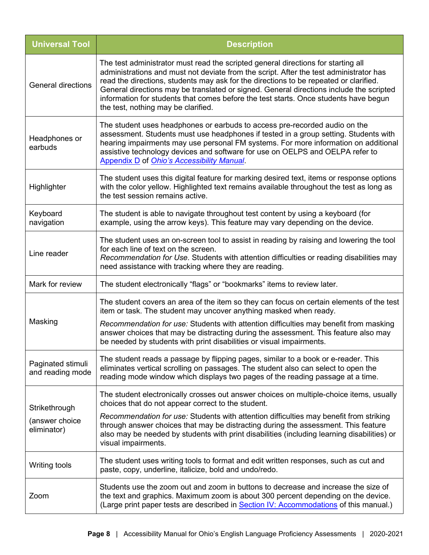| <b>Universal Tool</b>                 | <b>Description</b>                                                                                                                                                                                                                                                                                                                                                                                                                                                                             |
|---------------------------------------|------------------------------------------------------------------------------------------------------------------------------------------------------------------------------------------------------------------------------------------------------------------------------------------------------------------------------------------------------------------------------------------------------------------------------------------------------------------------------------------------|
| <b>General directions</b>             | The test administrator must read the scripted general directions for starting all<br>administrations and must not deviate from the script. After the test administrator has<br>read the directions, students may ask for the directions to be repeated or clarified.<br>General directions may be translated or signed. General directions include the scripted<br>information for students that comes before the test starts. Once students have begun<br>the test, nothing may be clarified. |
| Headphones or<br>earbuds              | The student uses headphones or earbuds to access pre-recorded audio on the<br>assessment. Students must use headphones if tested in a group setting. Students with<br>hearing impairments may use personal FM systems. For more information on additional<br>assistive technology devices and software for use on OELPS and OELPA refer to<br>Appendix D of Ohio's Accessibility Manual.                                                                                                       |
| Highlighter                           | The student uses this digital feature for marking desired text, items or response options<br>with the color yellow. Highlighted text remains available throughout the test as long as<br>the test session remains active.                                                                                                                                                                                                                                                                      |
| Keyboard<br>navigation                | The student is able to navigate throughout test content by using a keyboard (for<br>example, using the arrow keys). This feature may vary depending on the device.                                                                                                                                                                                                                                                                                                                             |
| Line reader                           | The student uses an on-screen tool to assist in reading by raising and lowering the tool<br>for each line of text on the screen.<br>Recommendation for Use. Students with attention difficulties or reading disabilities may<br>need assistance with tracking where they are reading.                                                                                                                                                                                                          |
| Mark for review                       | The student electronically "flags" or "bookmarks" items to review later.                                                                                                                                                                                                                                                                                                                                                                                                                       |
| Masking                               | The student covers an area of the item so they can focus on certain elements of the test<br>item or task. The student may uncover anything masked when ready.<br>Recommendation for use: Students with attention difficulties may benefit from masking<br>answer choices that may be distracting during the assessment. This feature also may<br>be needed by students with print disabilities or visual impairments.                                                                          |
| Paginated stimuli<br>and reading mode | The student reads a passage by flipping pages, similar to a book or e-reader. This<br>eliminates vertical scrolling on passages. The student also can select to open the<br>reading mode window which displays two pages of the reading passage at a time.                                                                                                                                                                                                                                     |
| Strikethrough<br>(answer choice       | The student electronically crosses out answer choices on multiple-choice items, usually<br>choices that do not appear correct to the student.<br>Recommendation for use: Students with attention difficulties may benefit from striking<br>through answer choices that may be distracting during the assessment. This feature                                                                                                                                                                  |
| eliminator)                           | also may be needed by students with print disabilities (including learning disabilities) or<br>visual impairments.                                                                                                                                                                                                                                                                                                                                                                             |
| Writing tools                         | The student uses writing tools to format and edit written responses, such as cut and<br>paste, copy, underline, italicize, bold and undo/redo.                                                                                                                                                                                                                                                                                                                                                 |
| Zoom                                  | Students use the zoom out and zoom in buttons to decrease and increase the size of<br>the text and graphics. Maximum zoom is about 300 percent depending on the device.<br>(Large print paper tests are described in Section IV: Accommodations of this manual.)                                                                                                                                                                                                                               |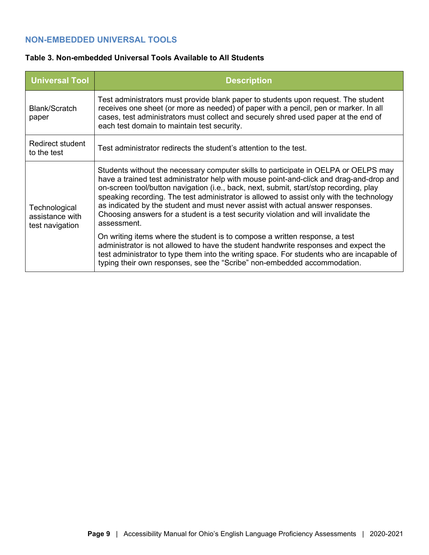#### <span id="page-10-0"></span>**NON-EMBEDDED UNIVERSAL TOOLS**

#### **Table 3. Non-embedded Universal Tools Available to All Students**

| <b>Universal Tool</b>                               | <b>Description</b>                                                                                                                                                                                                                                                                                                                                                                                                                                                                                                                                            |
|-----------------------------------------------------|---------------------------------------------------------------------------------------------------------------------------------------------------------------------------------------------------------------------------------------------------------------------------------------------------------------------------------------------------------------------------------------------------------------------------------------------------------------------------------------------------------------------------------------------------------------|
| Blank/Scratch<br>paper                              | Test administrators must provide blank paper to students upon request. The student<br>receives one sheet (or more as needed) of paper with a pencil, pen or marker. In all<br>cases, test administrators must collect and securely shred used paper at the end of<br>each test domain to maintain test security.                                                                                                                                                                                                                                              |
| Redirect student<br>to the test                     | Test administrator redirects the student's attention to the test.                                                                                                                                                                                                                                                                                                                                                                                                                                                                                             |
| Technological<br>assistance with<br>test navigation | Students without the necessary computer skills to participate in OELPA or OELPS may<br>have a trained test administrator help with mouse point-and-click and drag-and-drop and<br>on-screen tool/button navigation (i.e., back, next, submit, start/stop recording, play<br>speaking recording. The test administrator is allowed to assist only with the technology<br>as indicated by the student and must never assist with actual answer responses.<br>Choosing answers for a student is a test security violation and will invalidate the<br>assessment. |
|                                                     | On writing items where the student is to compose a written response, a test<br>administrator is not allowed to have the student handwrite responses and expect the<br>test administrator to type them into the writing space. For students who are incapable of<br>typing their own responses, see the "Scribe" non-embedded accommodation.                                                                                                                                                                                                                   |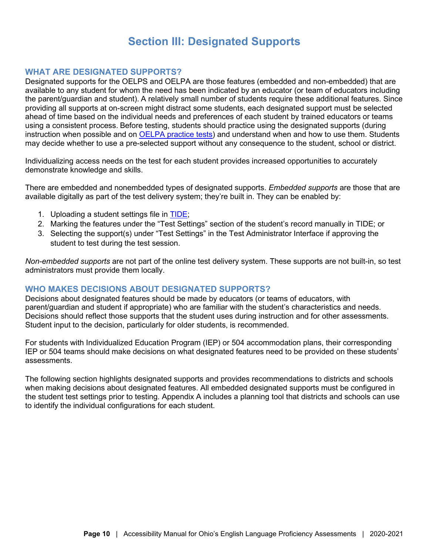### **Section III: Designated Supports**

#### <span id="page-11-1"></span><span id="page-11-0"></span>**WHAT ARE DESIGNATED SUPPORTS?**

Designated supports for the OELPS and OELPA are those features (embedded and non-embedded) that are available to any student for whom the need has been indicated by an educator (or team of educators including the parent/guardian and student). A relatively small number of students require these additional features. Since providing all supports at on-screen might distract some students, each designated support must be selected ahead of time based on the individual needs and preferences of each student by trained educators or teams using a consistent process. Before testing, students should practice using the designated supports (during instruction when possible and on **OELPA practice tests**) and understand when and how to use them. Students may decide whether to use a pre-selected support without any consequence to the student, school or district.

Individualizing access needs on the test for each student provides increased opportunities to accurately demonstrate knowledge and skills.

There are embedded and nonembedded types of designated supports. *Embedded supports* are those that are available digitally as part of the test delivery system; they're built in. They can be enabled by:

- 1. Uploading a student settings file in [TIDE;](https://oh-oelpa.portal.cambiumast.com/users/teachers-test-administrators.stml)
- 2. Marking the features under the "Test Settings" section of the student's record manually in TIDE; or
- 3. Selecting the support(s) under "Test Settings" in the Test Administrator Interface if approving the student to test during the test session.

*Non-embedded supports* are not part of the online test delivery system. These supports are not built-in, so test administrators must provide them locally.

#### <span id="page-11-2"></span>**WHO MAKES DECISIONS ABOUT DESIGNATED SUPPORTS?**

Decisions about designated features should be made by educators (or teams of educators, with parent/guardian and student if appropriate) who are familiar with the student's characteristics and needs. Decisions should reflect those supports that the student uses during instruction and for other assessments. Student input to the decision, particularly for older students, is recommended.

For students with Individualized Education Program (IEP) or 504 accommodation plans, their corresponding IEP or 504 teams should make decisions on what designated features need to be provided on these students' assessments.

The following section highlights designated supports and provides recommendations to districts and schools when making decisions about designated features. All embedded designated supports must be configured in the student test settings prior to testing. Appendix A includes a planning tool that districts and schools can use to identify the individual configurations for each student.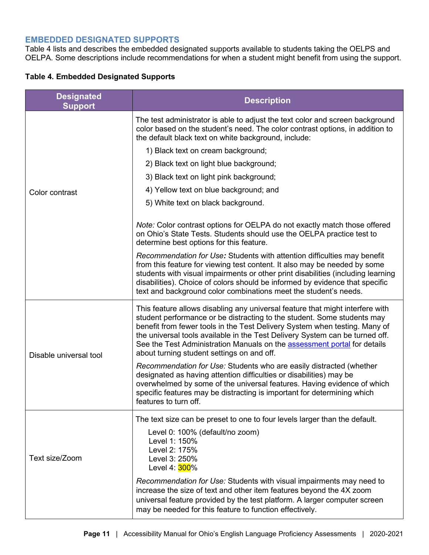#### <span id="page-12-0"></span>**EMBEDDED DESIGNATED SUPPORTS**

Table 4 lists and describes the embedded designated supports available to students taking the OELPS and OELPA. Some descriptions include recommendations for when a student might benefit from using the support.

| <b>Designated</b><br><b>Support</b> | <b>Description</b>                                                                                                                                                                                                                                                                                                                                                                                                                                      |
|-------------------------------------|---------------------------------------------------------------------------------------------------------------------------------------------------------------------------------------------------------------------------------------------------------------------------------------------------------------------------------------------------------------------------------------------------------------------------------------------------------|
|                                     | The test administrator is able to adjust the text color and screen background<br>color based on the student's need. The color contrast options, in addition to<br>the default black text on white background, include:                                                                                                                                                                                                                                  |
|                                     | 1) Black text on cream background;                                                                                                                                                                                                                                                                                                                                                                                                                      |
|                                     | 2) Black text on light blue background;                                                                                                                                                                                                                                                                                                                                                                                                                 |
|                                     | 3) Black text on light pink background;                                                                                                                                                                                                                                                                                                                                                                                                                 |
| Color contrast                      | 4) Yellow text on blue background; and                                                                                                                                                                                                                                                                                                                                                                                                                  |
|                                     | 5) White text on black background.                                                                                                                                                                                                                                                                                                                                                                                                                      |
|                                     | Note: Color contrast options for OELPA do not exactly match those offered<br>on Ohio's State Tests. Students should use the OELPA practice test to<br>determine best options for this feature.                                                                                                                                                                                                                                                          |
|                                     | Recommendation for Use: Students with attention difficulties may benefit<br>from this feature for viewing test content. It also may be needed by some<br>students with visual impairments or other print disabilities (including learning<br>disabilities). Choice of colors should be informed by evidence that specific<br>text and background color combinations meet the student's needs.                                                           |
| Disable universal tool              | This feature allows disabling any universal feature that might interfere with<br>student performance or be distracting to the student. Some students may<br>benefit from fewer tools in the Test Delivery System when testing. Many of<br>the universal tools available in the Test Delivery System can be turned off.<br>See the Test Administration Manuals on the <b>assessment portal</b> for details<br>about turning student settings on and off. |
|                                     | Recommendation for Use: Students who are easily distracted (whether<br>designated as having attention difficulties or disabilities) may be<br>overwhelmed by some of the universal features. Having evidence of which<br>specific features may be distracting is important for determining which<br>features to turn off.                                                                                                                               |
|                                     | The text size can be preset to one to four levels larger than the default.                                                                                                                                                                                                                                                                                                                                                                              |
| Text size/Zoom                      | Level 0: 100% (default/no zoom)<br>Level 1: 150%<br>Level 2: 175%<br>Level 3: 250%<br>Level 4: 300%                                                                                                                                                                                                                                                                                                                                                     |
|                                     | Recommendation for Use: Students with visual impairments may need to<br>increase the size of text and other item features beyond the 4X zoom<br>universal feature provided by the test platform. A larger computer screen<br>may be needed for this feature to function effectively.                                                                                                                                                                    |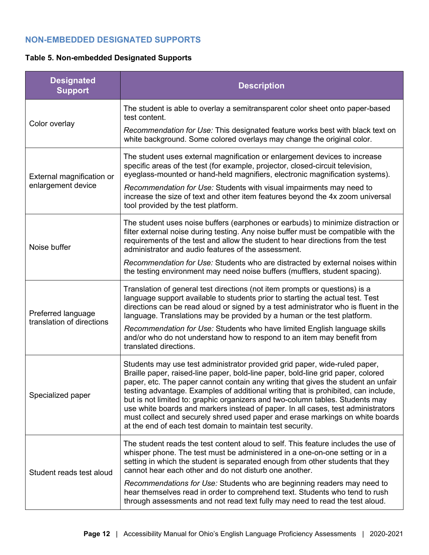#### <span id="page-13-0"></span>**NON-EMBEDDED DESIGNATED SUPPORTS**

#### **Table 5. Non-embedded Designated Supports**

| <b>Designated</b><br><b>Support</b>             | <b>Description</b>                                                                                                                                                                                                                                                                                                                                                                                                                                                                                                                                                                                                                                           |
|-------------------------------------------------|--------------------------------------------------------------------------------------------------------------------------------------------------------------------------------------------------------------------------------------------------------------------------------------------------------------------------------------------------------------------------------------------------------------------------------------------------------------------------------------------------------------------------------------------------------------------------------------------------------------------------------------------------------------|
| Color overlay                                   | The student is able to overlay a semitransparent color sheet onto paper-based<br>test content.                                                                                                                                                                                                                                                                                                                                                                                                                                                                                                                                                               |
|                                                 | Recommendation for Use: This designated feature works best with black text on<br>white background. Some colored overlays may change the original color.                                                                                                                                                                                                                                                                                                                                                                                                                                                                                                      |
| External magnification or<br>enlargement device | The student uses external magnification or enlargement devices to increase<br>specific areas of the test (for example, projector, closed-circuit television,<br>eyeglass-mounted or hand-held magnifiers, electronic magnification systems).                                                                                                                                                                                                                                                                                                                                                                                                                 |
|                                                 | Recommendation for Use: Students with visual impairments may need to<br>increase the size of text and other item features beyond the 4x zoom universal<br>tool provided by the test platform.                                                                                                                                                                                                                                                                                                                                                                                                                                                                |
| Noise buffer                                    | The student uses noise buffers (earphones or earbuds) to minimize distraction or<br>filter external noise during testing. Any noise buffer must be compatible with the<br>requirements of the test and allow the student to hear directions from the test<br>administrator and audio features of the assessment.                                                                                                                                                                                                                                                                                                                                             |
|                                                 | Recommendation for Use: Students who are distracted by external noises within<br>the testing environment may need noise buffers (mufflers, student spacing).                                                                                                                                                                                                                                                                                                                                                                                                                                                                                                 |
| Preferred language<br>translation of directions | Translation of general test directions (not item prompts or questions) is a<br>language support available to students prior to starting the actual test. Test<br>directions can be read aloud or signed by a test administrator who is fluent in the<br>language. Translations may be provided by a human or the test platform.                                                                                                                                                                                                                                                                                                                              |
|                                                 | Recommendation for Use: Students who have limited English language skills<br>and/or who do not understand how to respond to an item may benefit from<br>translated directions.                                                                                                                                                                                                                                                                                                                                                                                                                                                                               |
| Specialized paper                               | Students may use test administrator provided grid paper, wide-ruled paper,<br>Braille paper, raised-line paper, bold-line paper, bold-line grid paper, colored<br>paper, etc. The paper cannot contain any writing that gives the student an unfair<br>testing advantage. Examples of additional writing that is prohibited, can include,<br>but is not limited to: graphic organizers and two-column tables. Students may<br>use white boards and markers instead of paper. In all cases, test administrators<br>must collect and securely shred used paper and erase markings on white boards<br>at the end of each test domain to maintain test security. |
| Student reads test aloud                        | The student reads the test content aloud to self. This feature includes the use of<br>whisper phone. The test must be administered in a one-on-one setting or in a<br>setting in which the student is separated enough from other students that they<br>cannot hear each other and do not disturb one another.                                                                                                                                                                                                                                                                                                                                               |
|                                                 | Recommendations for Use: Students who are beginning readers may need to<br>hear themselves read in order to comprehend text. Students who tend to rush<br>through assessments and not read text fully may need to read the test aloud.                                                                                                                                                                                                                                                                                                                                                                                                                       |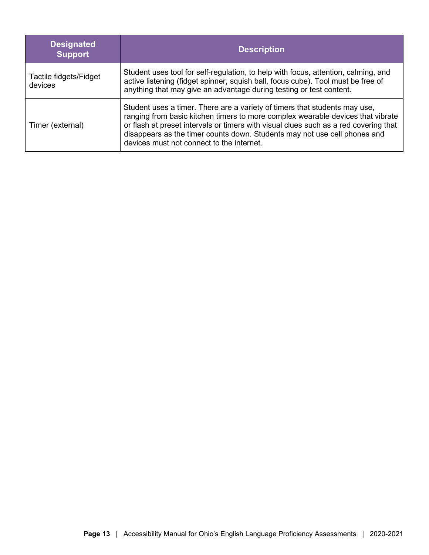| <b>Designated</b><br><b>Support</b> | <b>Description</b>                                                                                                                                                                                                                                                                                                                                                              |
|-------------------------------------|---------------------------------------------------------------------------------------------------------------------------------------------------------------------------------------------------------------------------------------------------------------------------------------------------------------------------------------------------------------------------------|
| Tactile fidgets/Fidget<br>devices   | Student uses tool for self-regulation, to help with focus, attention, calming, and<br>active listening (fidget spinner, squish ball, focus cube). Tool must be free of<br>anything that may give an advantage during testing or test content.                                                                                                                                   |
| Timer (external)                    | Student uses a timer. There are a variety of timers that students may use,<br>ranging from basic kitchen timers to more complex wearable devices that vibrate<br>or flash at preset intervals or timers with visual clues such as a red covering that<br>disappears as the timer counts down. Students may not use cell phones and<br>devices must not connect to the internet. |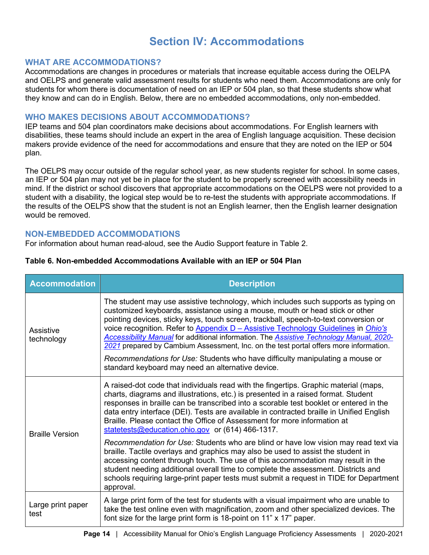## **Section IV: Accommodations**

#### <span id="page-15-1"></span><span id="page-15-0"></span>**WHAT ARE ACCOMMODATIONS?**

Accommodations are changes in procedures or materials that increase equitable access during the OELPA and OELPS and generate valid assessment results for students who need them. Accommodations are only for students for whom there is documentation of need on an IEP or 504 plan, so that these students show what they know and can do in English. Below, there are no embedded accommodations, only non-embedded.

#### <span id="page-15-2"></span>**WHO MAKES DECISIONS ABOUT ACCOMMODATIONS?**

IEP teams and 504 plan coordinators make decisions about accommodations. For English learners with disabilities, these teams should include an expert in the area of English language acquisition. These decision makers provide evidence of the need for accommodations and ensure that they are noted on the IEP or 504 plan.

The OELPS may occur outside of the regular school year, as new students register for school. In some cases, an IEP or 504 plan may not yet be in place for the student to be properly screened with accessibility needs in mind. If the district or school discovers that appropriate accommodations on the OELPS were not provided to a student with a disability, the logical step would be to re-test the students with appropriate accommodations. If the results of the OELPS show that the student is not an English learner, then the English learner designation would be removed.

#### <span id="page-15-3"></span>**NON-EMBEDDED ACCOMMODATIONS**

For information about human read-aloud, see the Audio Support feature in Table 2.

| <b>Accommodation</b>      | <b>Description</b>                                                                                                                                                                                                                                                                                                                                                                                                                                                                                                                                                                                                                                                          |
|---------------------------|-----------------------------------------------------------------------------------------------------------------------------------------------------------------------------------------------------------------------------------------------------------------------------------------------------------------------------------------------------------------------------------------------------------------------------------------------------------------------------------------------------------------------------------------------------------------------------------------------------------------------------------------------------------------------------|
| Assistive<br>technology   | The student may use assistive technology, which includes such supports as typing on<br>customized keyboards, assistance using a mouse, mouth or head stick or other<br>pointing devices, sticky keys, touch screen, trackball, speech-to-text conversion or<br>voice recognition. Refer to Appendix D - Assistive Technology Guidelines in Ohio's<br>Accessibility Manual for additional information. The Assistive Technology Manual, 2020-<br>2021 prepared by Cambium Assessment, Inc. on the test portal offers more information.<br>Recommendations for Use: Students who have difficulty manipulating a mouse or<br>standard keyboard may need an alternative device. |
| <b>Braille Version</b>    | A raised-dot code that individuals read with the fingertips. Graphic material (maps,<br>charts, diagrams and illustrations, etc.) is presented in a raised format. Student<br>responses in braille can be transcribed into a scorable test booklet or entered in the<br>data entry interface (DEI). Tests are available in contracted braille in Unified English<br>Braille. Please contact the Office of Assessment for more information at<br>statetests@education.ohio.gov or (614) 466-1317.                                                                                                                                                                            |
|                           | Recommendation for Use: Students who are blind or have low vision may read text via<br>braille. Tactile overlays and graphics may also be used to assist the student in<br>accessing content through touch. The use of this accommodation may result in the<br>student needing additional overall time to complete the assessment. Districts and<br>schools requiring large-print paper tests must submit a request in TIDE for Department<br>approval.                                                                                                                                                                                                                     |
| Large print paper<br>test | A large print form of the test for students with a visual impairment who are unable to<br>take the test online even with magnification, zoom and other specialized devices. The<br>font size for the large print form is 18-point on 11" x 17" paper.                                                                                                                                                                                                                                                                                                                                                                                                                       |

#### **Table 6. Non-embedded Accommodations Available with an IEP or 504 Plan**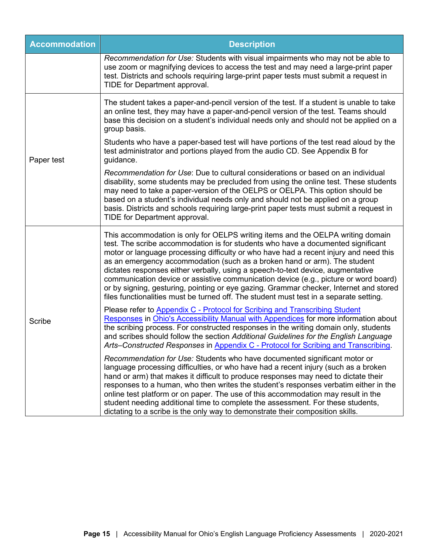| <b>Accommodation</b> | <b>Description</b>                                                                                                                                                                                                                                                                                                                                                                                                                                                                                                                                                                                                                                                                                       |
|----------------------|----------------------------------------------------------------------------------------------------------------------------------------------------------------------------------------------------------------------------------------------------------------------------------------------------------------------------------------------------------------------------------------------------------------------------------------------------------------------------------------------------------------------------------------------------------------------------------------------------------------------------------------------------------------------------------------------------------|
|                      | Recommendation for Use: Students with visual impairments who may not be able to<br>use zoom or magnifying devices to access the test and may need a large-print paper<br>test. Districts and schools requiring large-print paper tests must submit a request in<br>TIDE for Department approval.                                                                                                                                                                                                                                                                                                                                                                                                         |
| Paper test           | The student takes a paper-and-pencil version of the test. If a student is unable to take<br>an online test, they may have a paper-and-pencil version of the test. Teams should<br>base this decision on a student's individual needs only and should not be applied on a<br>group basis.                                                                                                                                                                                                                                                                                                                                                                                                                 |
|                      | Students who have a paper-based test will have portions of the test read aloud by the<br>test administrator and portions played from the audio CD. See Appendix B for<br>guidance.                                                                                                                                                                                                                                                                                                                                                                                                                                                                                                                       |
|                      | Recommendation for Use: Due to cultural considerations or based on an individual<br>disability, some students may be precluded from using the online test. These students<br>may need to take a paper-version of the OELPS or OELPA. This option should be<br>based on a student's individual needs only and should not be applied on a group<br>basis. Districts and schools requiring large-print paper tests must submit a request in<br>TIDE for Department approval.                                                                                                                                                                                                                                |
| <b>Scribe</b>        | This accommodation is only for OELPS writing items and the OELPA writing domain<br>test. The scribe accommodation is for students who have a documented significant<br>motor or language processing difficulty or who have had a recent injury and need this<br>as an emergency accommodation (such as a broken hand or arm). The student<br>dictates responses either verbally, using a speech-to-text device, augmentative<br>communication device or assistive communication device (e.g., picture or word board)<br>or by signing, gesturing, pointing or eye gazing. Grammar checker, Internet and stored<br>files functionalities must be turned off. The student must test in a separate setting. |
|                      | Please refer to Appendix C - Protocol for Scribing and Transcribing Student<br>Responses in Ohio's Accessibility Manual with Appendices for more information about<br>the scribing process. For constructed responses in the writing domain only, students<br>and scribes should follow the section Additional Guidelines for the English Language<br>Arts-Constructed Responses in Appendix C - Protocol for Scribing and Transcribing.                                                                                                                                                                                                                                                                 |
|                      | Recommendation for Use: Students who have documented significant motor or<br>language processing difficulties, or who have had a recent injury (such as a broken<br>hand or arm) that makes it difficult to produce responses may need to dictate their<br>responses to a human, who then writes the student's responses verbatim either in the<br>online test platform or on paper. The use of this accommodation may result in the<br>student needing additional time to complete the assessment. For these students,<br>dictating to a scribe is the only way to demonstrate their composition skills.                                                                                                |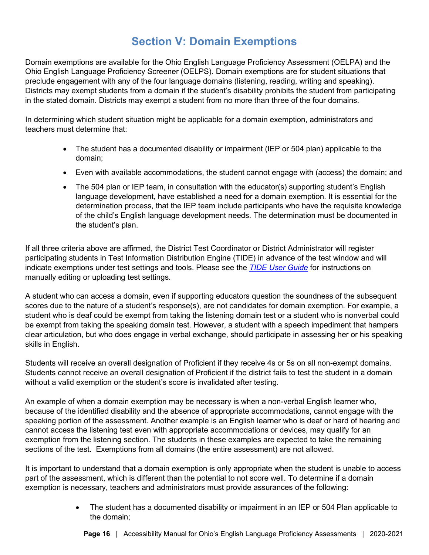## **Section V: Domain Exemptions**

<span id="page-17-0"></span>Domain exemptions are available for the Ohio English Language Proficiency Assessment (OELPA) and the Ohio English Language Proficiency Screener (OELPS). Domain exemptions are for student situations that preclude engagement with any of the four language domains (listening, reading, writing and speaking). Districts may exempt students from a domain if the student's disability prohibits the student from participating in the stated domain. Districts may exempt a student from no more than three of the four domains.

In determining which student situation might be applicable for a domain exemption, administrators and teachers must determine that:

- The student has a documented disability or impairment (IEP or 504 plan) applicable to the domain;
- Even with available accommodations, the student cannot engage with (access) the domain; and
- The 504 plan or IEP team, in consultation with the educator(s) supporting student's English language development, have established a need for a domain exemption. It is essential for the determination process, that the IEP team include participants who have the requisite knowledge of the child's English language development needs. The determination must be documented in the student's plan.

If all three criteria above are affirmed, the District Test Coordinator or District Administrator will register participating students in Test Information Distribution Engine (TIDE) in advance of the test window and will indicate exemptions under test settings and tools. Please see the *[TIDE User Guide](https://oh.portal.cambiumast.com/resources/tide-support-documents-osr/)* for instructions on manually editing or uploading test settings.

A student who can access a domain, even if supporting educators question the soundness of the subsequent scores due to the nature of a student's response(s), are not candidates for domain exemption. For example, a student who is deaf could be exempt from taking the listening domain test or a student who is nonverbal could be exempt from taking the speaking domain test. However, a student with a speech impediment that hampers clear articulation, but who does engage in verbal exchange, should participate in assessing her or his speaking skills in English.

Students will receive an overall designation of Proficient if they receive 4s or 5s on all non-exempt domains. Students cannot receive an overall designation of Proficient if the district fails to test the student in a domain without a valid exemption or the student's score is invalidated after testing.

An example of when a domain exemption may be necessary is when a non-verbal English learner who, because of the identified disability and the absence of appropriate accommodations, cannot engage with the speaking portion of the assessment. Another example is an English learner who is deaf or hard of hearing and cannot access the listening test even with appropriate accommodations or devices, may qualify for an exemption from the listening section. The students in these examples are expected to take the remaining sections of the test. Exemptions from all domains (the entire assessment) are not allowed.

It is important to understand that a domain exemption is only appropriate when the student is unable to access part of the assessment, which is different than the potential to not score well. To determine if a domain exemption is necessary, teachers and administrators must provide assurances of the following:

> • The student has a documented disability or impairment in an IEP or 504 Plan applicable to the domain;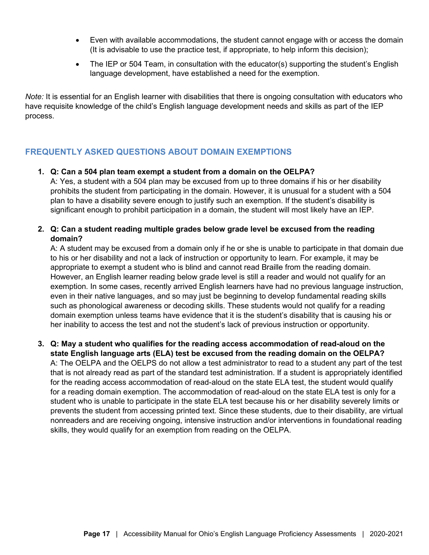- Even with available accommodations, the student cannot engage with or access the domain (It is advisable to use the practice test, if appropriate, to help inform this decision);
- The IEP or 504 Team, in consultation with the educator(s) supporting the student's English language development, have established a need for the exemption.

*Note:* It is essential for an English learner with disabilities that there is ongoing consultation with educators who have requisite knowledge of the child's English language development needs and skills as part of the IEP process.

#### <span id="page-18-0"></span>**FREQUENTLY ASKED QUESTIONS ABOUT DOMAIN EXEMPTIONS**

#### **1. Q: Can a 504 plan team exempt a student from a domain on the OELPA?**

A: Yes, a student with a 504 plan may be excused from up to three domains if his or her disability prohibits the student from participating in the domain. However, it is unusual for a student with a 504 plan to have a disability severe enough to justify such an exemption. If the student's disability is significant enough to prohibit participation in a domain, the student will most likely have an IEP.

**2. Q: Can a student reading multiple grades below grade level be excused from the reading domain?** 

A: A student may be excused from a domain only if he or she is unable to participate in that domain due to his or her disability and not a lack of instruction or opportunity to learn. For example, it may be appropriate to exempt a student who is blind and cannot read Braille from the reading domain. However, an English learner reading below grade level is still a reader and would not qualify for an exemption. In some cases, recently arrived English learners have had no previous language instruction, even in their native languages, and so may just be beginning to develop fundamental reading skills such as phonological awareness or decoding skills. These students would not qualify for a reading domain exemption unless teams have evidence that it is the student's disability that is causing his or her inability to access the test and not the student's lack of previous instruction or opportunity.

**3. Q: May a student who qualifies for the reading access accommodation of read-aloud on the state English language arts (ELA) test be excused from the reading domain on the OELPA?** 

A: The OELPA and the OELPS do not allow a test administrator to read to a student any part of the test that is not already read as part of the standard test administration. If a student is appropriately identified for the reading access accommodation of read-aloud on the state ELA test, the student would qualify for a reading domain exemption. The accommodation of read-aloud on the state ELA test is only for a student who is unable to participate in the state ELA test because his or her disability severely limits or prevents the student from accessing printed text. Since these students, due to their disability, are virtual nonreaders and are receiving ongoing, intensive instruction and/or interventions in foundational reading skills, they would qualify for an exemption from reading on the OELPA.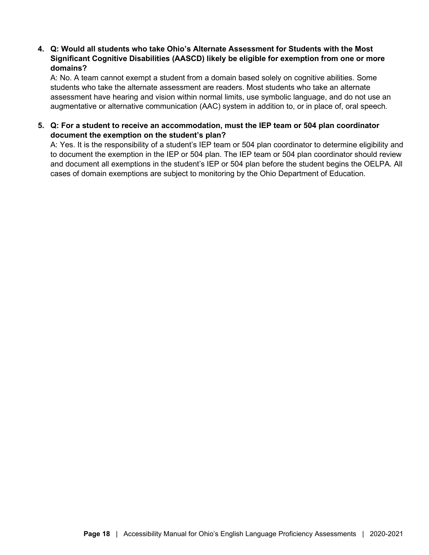#### **4. Q: Would all students who take Ohio's Alternate Assessment for Students with the Most Significant Cognitive Disabilities (AASCD) likely be eligible for exemption from one or more domains?**

A: No. A team cannot exempt a student from a domain based solely on cognitive abilities. Some students who take the alternate assessment are readers. Most students who take an alternate assessment have hearing and vision within normal limits, use symbolic language, and do not use an augmentative or alternative communication (AAC) system in addition to, or in place of, oral speech.

#### **5. Q: For a student to receive an accommodation, must the IEP team or 504 plan coordinator document the exemption on the student's plan?**

A: Yes. It is the responsibility of a student's IEP team or 504 plan coordinator to determine eligibility and to document the exemption in the IEP or 504 plan. The IEP team or 504 plan coordinator should review and document all exemptions in the student's IEP or 504 plan before the student begins the OELPA. All cases of domain exemptions are subject to monitoring by the Ohio Department of Education.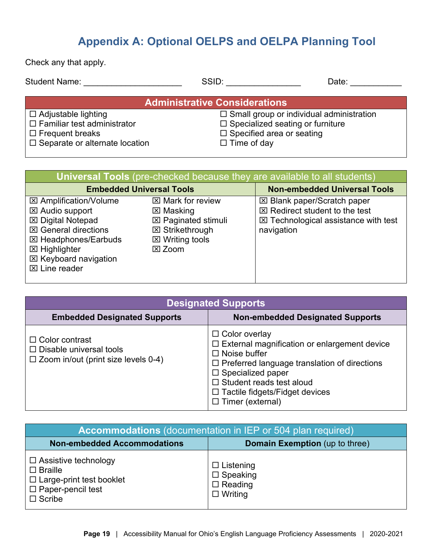## **Appendix A: Optional OELPS and OELPA Planning Tool**

<span id="page-20-0"></span>Check any that apply.

| <b>Student Name:</b>                  | SSID:                                           | Date: |  |  |
|---------------------------------------|-------------------------------------------------|-------|--|--|
| <b>Administrative Considerations</b>  |                                                 |       |  |  |
| $\Box$ Adjustable lighting            | $\Box$ Small group or individual administration |       |  |  |
| $\Box$ Familiar test administrator    | $\Box$ Specialized seating or furniture         |       |  |  |
| $\Box$ Frequent breaks                | $\Box$ Specified area or seating                |       |  |  |
| $\Box$ Separate or alternate location | $\Box$ Time of day                              |       |  |  |

| <b>Universal Tools</b> (pre-checked because they are available to all students)                                                                                                                                               |                                                                                                                                                   |                                                                                                                                                |  |  |
|-------------------------------------------------------------------------------------------------------------------------------------------------------------------------------------------------------------------------------|---------------------------------------------------------------------------------------------------------------------------------------------------|------------------------------------------------------------------------------------------------------------------------------------------------|--|--|
| <b>Embedded Universal Tools</b>                                                                                                                                                                                               |                                                                                                                                                   | <b>Non-embedded Universal Tools</b>                                                                                                            |  |  |
| <b>⊠ Amplification/Volume</b><br>⊠ Audio support<br><b>区 Digital Notepad</b><br><b>⊠ General directions</b><br><b>⊠ Headphones/Earbuds</b><br><b>⊠ Highlighter</b><br><b>⊠ Keyboard navigation</b><br>$\boxtimes$ Line reader | $\boxtimes$ Mark for review<br>⊠ Masking<br><b>⊠ Paginated stimuli</b><br><b>⊠ Strikethrough</b><br>$\boxtimes$ Writing tools<br>$\boxtimes$ Zoom | <b>⊠ Blank paper/Scratch paper</b><br>$\boxtimes$ Redirect student to the test<br>$\boxtimes$ Technological assistance with test<br>navigation |  |  |

| <b>Designated Supports</b>                                                                            |                                                                                                                                                                                                                                                                                            |  |
|-------------------------------------------------------------------------------------------------------|--------------------------------------------------------------------------------------------------------------------------------------------------------------------------------------------------------------------------------------------------------------------------------------------|--|
| <b>Embedded Designated Supports</b>                                                                   | <b>Non-embedded Designated Supports</b>                                                                                                                                                                                                                                                    |  |
| $\Box$ Color contrast<br>$\Box$ Disable universal tools<br>$\Box$ Zoom in/out (print size levels 0-4) | $\Box$ Color overlay<br>$\Box$ External magnification or enlargement device<br>$\Box$ Noise buffer<br>□ Preferred language translation of directions<br>$\square$ Specialized paper<br>$\Box$ Student reads test aloud<br>$\Box$ Tactile fidgets/Fidget devices<br>$\Box$ Timer (external) |  |

<span id="page-20-1"></span>

| <b>Accommodations</b> (documentation in IEP or 504 plan required)                                                                |                                                                            |  |
|----------------------------------------------------------------------------------------------------------------------------------|----------------------------------------------------------------------------|--|
| <b>Non-embedded Accommodations</b>                                                                                               | Domain Exemption (up to three)                                             |  |
| $\Box$ Assistive technology<br>$\square$ Braille<br>$\Box$ Large-print test booklet<br>$\Box$ Paper-pencil test<br>$\Box$ Scribe | $\Box$ Listening<br>$\square$ Speaking<br>$\Box$ Reading<br>$\Box$ Writing |  |